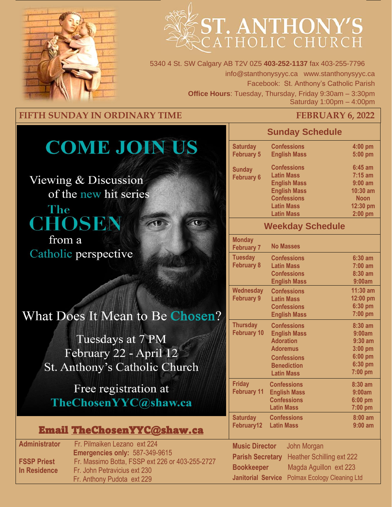

# ST. ANTHONY'S

5340 4 St. SW Calgary AB T2V 0Z5 **403-252-1137** fax 403-255-7796 info@stanthonysyyc.ca www.stanthonysyyc.ca Facebook: St. Anthony's Catholic Parish **Office Hours**: Tuesday, Thursday, Friday 9:30am – 3:30pm Saturday 1:00pm – 4:00pm

#### **FIFTH SUNDAY IN ORDINARY TIME FEBRUARY 6, 2022**

## **COME JOIN US**

Viewing & Discussion of the new hit series

The CHOSEN from a Catholic perspective

### What Does It Mean to Be Chosen?

Tuesdays at 7 PM February 22 - April 12 St. Anthony's Catholic Church

Free registration at TheChosenYYC@shaw.ca

#### Email TheChosenYYC@shaw.ca

**Administrator** Fr. Pilmaiken Lezano ext 224 **Emergencies only:** 587-349-9615 **FSSP Priest** Fr. Massimo Botta, FSSP ext 226 or 403-255-2727 **In Residence Fr. John Petravicius ext 230** Fr. Anthony Pudota ext 229

#### **Sunday Schedule**

| <b>Saturday</b>   | <b>Confessions</b>  | 4:00 pm     |
|-------------------|---------------------|-------------|
| <b>February 5</b> | <b>English Mass</b> | 5:00 pm     |
| <b>Sunday</b>     | <b>Confessions</b>  | $6:45$ am   |
| <b>February 6</b> | <b>Latin Mass</b>   | $7:15$ am   |
|                   | <b>English Mass</b> | $9:00$ am   |
|                   | <b>English Mass</b> | $10:30$ am  |
|                   | <b>Confessions</b>  | <b>Noon</b> |
|                   | <b>Latin Mass</b>   | 12:30 pm    |
|                   | <b>Latin Mass</b>   | $2:00$ pm   |
|                   |                     |             |

#### **Weekday Schedule**

| <b>Monday</b><br><b>February 7</b> | <b>No Masses</b>                 |                                    |  |
|------------------------------------|----------------------------------|------------------------------------|--|
| <b>Tuesday</b>                     | <b>Confessions</b>               | $6:30$ am                          |  |
| <b>February 8</b>                  | <b>Latin Mass</b>                | $7:00$ am                          |  |
|                                    | <b>Confessions</b>               | $8:30$ am                          |  |
|                                    | <b>English Mass</b>              | 9:00am                             |  |
| <b>Wednesday</b>                   | <b>Confessions</b>               | $11:30$ am                         |  |
| <b>February 9</b>                  | <b>Latin Mass</b>                | 12:00 pm                           |  |
|                                    | <b>Confessions</b>               | 6:30 pm                            |  |
|                                    | <b>English Mass</b>              | 7:00 pm                            |  |
| <b>Thursday</b>                    | <b>Confessions</b>               | $8:30$ am                          |  |
| <b>February 10</b>                 | <b>English Mass</b>              | 9:00am                             |  |
|                                    | <b>Adoration</b>                 | $9:30$ am                          |  |
|                                    | <b>Adoremus</b>                  | 3:00 pm                            |  |
|                                    | <b>Confessions</b>               | 6:00 pm                            |  |
|                                    | <b>Benediction</b>               | 6:30 pm                            |  |
|                                    | <b>Latin Mass</b>                | 7:00 pm                            |  |
| <b>Friday</b>                      | <b>Confessions</b>               | 8:30 am                            |  |
| <b>February 11</b>                 | <b>English Mass</b>              | 9:00am                             |  |
|                                    | <b>Confessions</b>               | $6:00$ pm                          |  |
|                                    | <b>Latin Mass</b>                | 7:00 pm                            |  |
| <b>Saturday</b>                    | <b>Confessions</b>               | $8:00$ am                          |  |
| February12                         | <b>Latin Mass</b>                | $9:00$ am                          |  |
|                                    |                                  |                                    |  |
| <b>Music Director</b>              | John Morgan                      |                                    |  |
| <b>Parish Secretary</b>            | <b>Heather Schilling ext 222</b> |                                    |  |
| <b>Bookkeeper</b>                  |                                  | Magda Aguillon ext 223             |  |
| <b>Janitorial Service</b>          |                                  | <b>Polmax Ecology Cleaning Ltd</b> |  |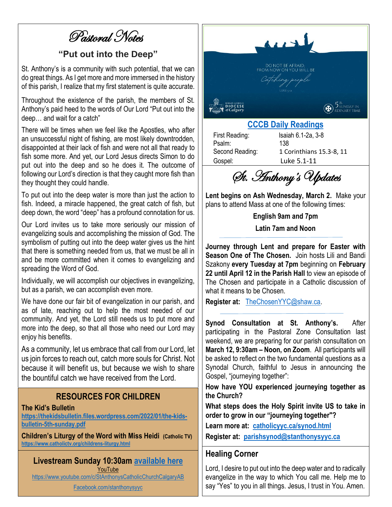Pastoral Notes

#### **"Put out into the Deep"**

St. Anthony's is a community with such potential, that we can do great things. As I get more and more immersed in the history of this parish, I realize that my first statement is quite accurate.

Throughout the existence of the parish, the members of St. Anthony's paid heed to the words of Our Lord "Put out into the deep… and wait for a catch"

There will be times when we feel like the Apostles, who after an unsuccessful night of fishing, are most likely downtrodden, disappointed at their lack of fish and were not all that ready to fish some more. And yet, our Lord Jesus directs Simon to do put out into the deep and so he does it. The outcome of following our Lord's direction is that they caught more fish than they thought they could handle.

To put out into the deep water is more than just the action to fish. Indeed, a miracle happened, the great catch of fish, but deep down, the word "deep" has a profound connotation for us.

Our Lord invites us to take more seriously our mission of evangelizing souls and accomplishing the mission of God. The symbolism of putting out into the deep water gives us the hint that there is something needed from us, that we must be all in and be more committed when it comes to evangelizing and spreading the Word of God.

Individually, we will accomplish our objectives in evangelizing, but as a parish, we can accomplish even more.

We have done our fair bit of evangelization in our parish, and as of late, reaching out to help the most needed of our community. And yet, the Lord still needs us to put more and more into the deep, so that all those who need our Lord may enjoy his benefits.

As a community, let us embrace that call from our Lord, let us join forces to reach out, catch more souls for Christ. Not because it will benefit us, but because we wish to share the bountiful catch we have received from the Lord.

#### **RESOURCES FOR CHILDREN**

#### **The Kid's Bulletin**

**https://thekidsbulletin.files.wordpress.com/2022/01/the-kidsbulletin-5th-sunday.pdf**

**Children's Liturgy of the Word with Miss Heidi (Catholic TV) https://www.catholictv.org/childrens-liturgy.html**

#### **Livestream Sunday 10:30am available here** YouTube

https://www.youtube.com/c/StAnthonysCatholicChurchCalgaryAB

Facebook.com/stanthonysyyc



#### **CCCB Daily Readings**

Psalm: 138

First Reading: Isaiah 6.1-2a, 3-8 Second Reading: 1 Corinthians 15.3-8, 11 Gospel: Luke 5.1-11

St. Anthony's Updates

**Lent begins on Ash Wednesday, March 2.** Make your plans to attend Mass at one of the following times:

**English 9am and 7pm**

**Latin 7am and Noon**

**Journey through Lent and prepare for Easter with Season One of The Chosen.** Join hosts Lili and Bandi Szakony **every Tuesday at 7pm** beginning on **February 22 until April 12 in the Parish Hall** to view an episode of The Chosen and participate in a Catholic discussion of what it means to be Chosen.

**Register at:** TheChosenYYC@shaw.ca.

**Synod Consultation at St. Anthony's.** After participating in the Pastoral Zone Consultation last weekend, we are preparing for our parish consultation on **March 12, 9:30am – Noon, on Zoom**. All participants will be asked to reflect on the two fundamental questions as a Synodal Church, faithful to Jesus in announcing the Gospel, "journeying together":

**How have YOU experienced journeying together as the Church?**

**What steps does the Holy Spirit invite US to take in order to grow in our "journeying together"?**

**Learn more at: catholicyyc.ca/synod.html Register at: parishsynod@stanthonysyyc.ca**

#### **Healing Corner**

Lord, I desire to put out into the deep water and to radically evangelize in the way to which You call me. Help me to say "Yes" to you in all things. Jesus, I trust in You. Amen.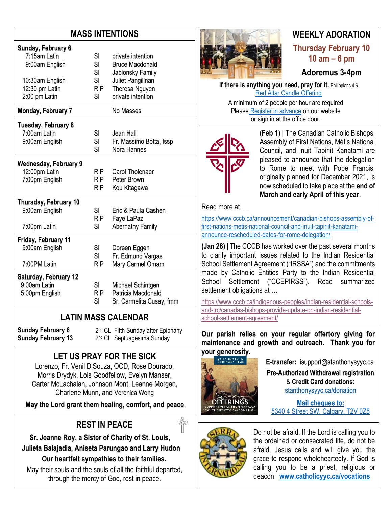#### **MASS INTENTIONS**

| Sunday, February 6           | SI         | private intention        |
|------------------------------|------------|--------------------------|
| 7:15am Latin                 | SI         | <b>Bruce Macdonald</b>   |
| 9:00am English               | SI         | Jablonsky Family         |
| 10:30am English              | SI         | Juliet Pangilinan        |
| 12:30 pm Latin               | <b>RIP</b> | Theresa Nguyen           |
| 2:00 pm Latin                | SI         | private intention        |
| Monday, February 7           |            | No Masses                |
| <b>Tuesday, February 8</b>   | SI         | Jean Hall                |
| 7:00am Latin                 | SI         | Fr. Massimo Botta, fssp  |
| 9:00am English               | SI         | Nora Hannes              |
| <b>Wednesday, February 9</b> | RIP.       | Carol Tholenaer          |
| 12:00pm Latin                | <b>RIP</b> | Peter Brown              |
| 7:00pm English               | <b>RIP</b> | Kou Kitagawa             |
| Thursday, February 10        | SI         | Eric & Paula Cashen      |
| 9:00am English               | <b>RIP</b> | Faye LaPaz               |
| 7:00pm Latin                 | SI         | <b>Abernathy Family</b>  |
| Friday, February 11          | SI         | Doreen Eggen             |
| 9:00am English               | SI         | Fr. Edmund Vargas        |
| 7:00PM Latin                 | RIP        | Mary Carmel Omam         |
| <b>Saturday, February 12</b> | <b>SI</b>  | Michael Schintgen        |
| 9:00am Latin                 | <b>RIP</b> | Patricia Macdonald       |
| 5:00pm English               | SI         | Sr. Carmelita Cusay, fmm |

#### **LATIN MASS CALENDAR**

**Sunday February 6 Sunday February 13**

#### **LET US PRAY FOR THE SICK**

2 nd CL Fifth Sunday after Epiphany 2 nd CL Septuagesima Sunday

Lorenzo, Fr. Venil D'Souza, OCD, Rose Dourado, Morris Drydyk, Lois Goodfellow, Evelyn Manser, Carter McLachalan, Johnson Mont, Leanne Morgan, Charlene Munn, and Veronica Wong

**May the Lord grant them healing, comfort, and peace**.

#### **REST IN PEACE**

 **Sr. Jeanne Roy, a Sister of Charity of St. Louis, Julieta Balajadia, Aniseta Parungao and Larry Hudon Our heartfelt sympathies to their families.**

May their souls and the souls of all the faithful departed, through the mercy of God, rest in peace.



#### **WEEKLY ADORATION Thursday February 10 10 am – 6 pm**

#### **Adoremus 3-4pm**

**If there is anything you need, pray for it.** Philippians 4:6 Red Altar Candle Offering

A minimum of 2 people per hour are required Please Register in advance on our website or sign in at the office door.



**(Feb 1) |** The Canadian Catholic Bishops, Assembly of First Nations, Métis National Council, and Inuit Tapiriit Kanatami are pleased to announce that the delegation to Rome to meet with Pope Francis, originally planned for December 2021, is now scheduled to take place at the **end of March and early April of this year**.

Read more at….

https://www.cccb.ca/announcement/canadian-bishops-assembly-offirst-nations-metis-national-council-and-inuit-tapiriit-kanatamiannounce-rescheduled-dates-for-rome-delegation/

**(Jan 28)** | The CCCB has worked over the past several months to clarify important issues related to the Indian Residential School Settlement Agreement ("IRSSA") and the commitments made by Catholic Entities Party to the Indian Residential School Settlement ("CCEPIRSS"). Read summarized settlement obligations at …

https://www.cccb.ca/indigenous-peoples/indian-residential-schoolsand-trc/canadas-bishops-provide-update-on-indian-residentialschool-settlement-agreement/

**Our parish relies on your regular offertory giving for maintenance and growth and outreach. Thank you for your generosity.** 



**E-transfer:** isupport@stanthonysyyc.ca

**Pre-Authorized Withdrawal registration**  & **Credit Card donations:** stanthonysyyc.ca/donation

**Mail cheques to:** 5340 4 Street SW, Calgary, T2V 0Z5



Do not be afraid. If the Lord is calling you to the ordained or consecrated life, do not be afraid. Jesus calls and will give you the grace to respond wholeheartedly. If God is calling you to be a priest, religious or deacon: **www.catholicyyc.ca/vocations**